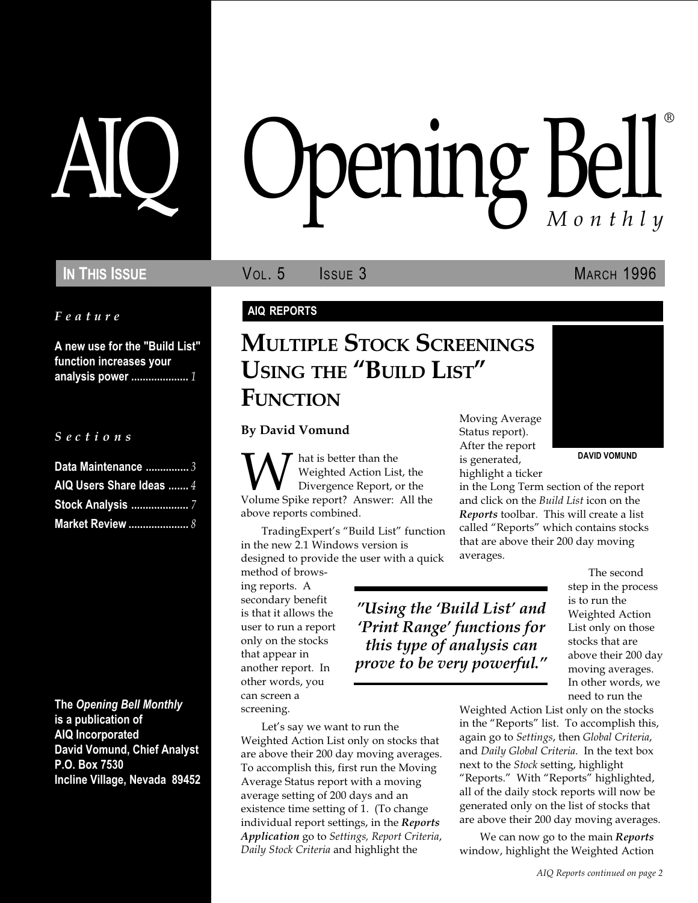#### Feature

A new use for the "Build List" function increases your analysis power .................... 1

#### S e c t i o n s

| Data Maintenance  3      |  |
|--------------------------|--|
| AIQ Users Share Ideas  4 |  |
|                          |  |
| <b>Market Review </b> 8  |  |

The Opening Bell Monthly is a publication of AIQ Incorporated David Vomund, Chief Analyst P.O. Box 7530 Incline Village, Nevada 89452

# pening Bel Monthly ®

IN THIS ISSUE **VOL. 5** ISSUE 3 MARCH 1996

#### AIQ REPORTS

# **MULTIPLE STOCK SCREENINGS** USING THE "BUILD LIST" **FUNCTION**

By David Vomund

What is better than the<br>Weighted Action List, the<br>Volume Spike report? Answer: All the Weighted Action List, the Divergence Report, or the above reports combined.

TradingExpert's "Build List" function in the new 2.1 Windows version is designed to provide the user with a quick

Let's say we want to run the Weighted Action List only on stocks that are above their 200 day moving averages. To accomplish this, first run the Moving Average Status report with a moving average setting of 200 days and an existence time setting of 1. (To change individual report settings, in the Reports Application go to Settings, Report Criteria, Daily Stock Criteria and highlight the

method of browsing reports. A secondary benefit is that it allows the user to run a report only on the stocks that appear in another report. In other words, you can screen a screening.

"Using the 'Build List' and 'Print Range' functions for this type of analysis can prove to be very powerful.

Moving Average Status report). After the report is generated, highlight a ticker



DAVID VOMUND

in the Long Term section of the report and click on the Build List icon on the Reports toolbar. This will create a list called "Reports" which contains stocks that are above their 200 day moving averages.

The second step in the process is to run the Weighted Action List only on those stocks that are above their 200 day moving averages. In other words, we need to run the

Weighted Action List only on the stocks in the "Reports" list. To accomplish this, again go to Settings, then Global Criteria, and Daily Global Criteria. In the text box next to the Stock setting, highlight "Reports." With "Reports" highlighted, all of the daily stock reports will now be generated only on the list of stocks that are above their 200 day moving averages.

We can now go to the main Reports window, highlight the Weighted Action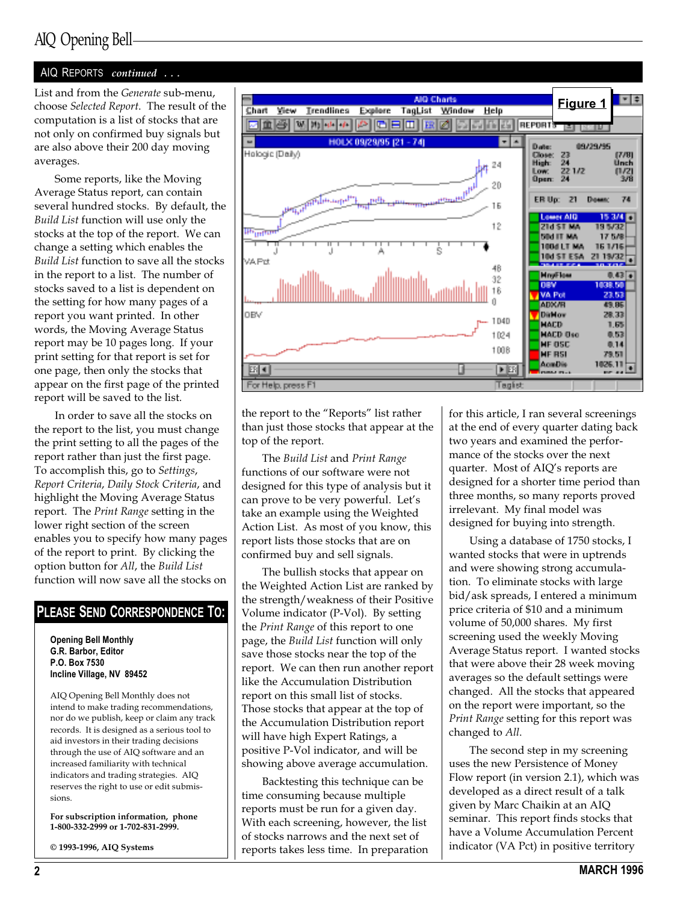### AIQ Opening Bell

#### AIQ REPORTS continued ...

List and from the Generate sub-menu, choose Selected Report. The result of the computation is a list of stocks that are not only on confirmed buy signals but are also above their 200 day moving averages.

Some reports, like the Moving Average Status report, can contain several hundred stocks. By default, the Build List function will use only the stocks at the top of the report. We can change a setting which enables the Build List function to save all the stocks in the report to a list. The number of stocks saved to a list is dependent on the setting for how many pages of a report you want printed. In other words, the Moving Average Status report may be 10 pages long. If your print setting for that report is set for one page, then only the stocks that appear on the first page of the printed report will be saved to the list.

In order to save all the stocks on the report to the list, you must change the print setting to all the pages of the report rather than just the first page. To accomplish this, go to Settings, Report Criteria, Daily Stock Criteria, and highlight the Moving Average Status report. The Print Range setting in the lower right section of the screen enables you to specify how many pages of the report to print. By clicking the option button for All, the Build List function will now save all the stocks on

#### PLEASE SEND CORRESPONDENCE TO:

Opening Bell Monthly G.R. Barbor, Editor P.O. Box 7530 Incline Village, NV 89452

AIQ Opening Bell Monthly does not intend to make trading recommendations, nor do we publish, keep or claim any track records. It is designed as a serious tool to aid investors in their trading decisions through the use of AIQ software and an increased familiarity with technical indicators and trading strategies. AIQ reserves the right to use or edit submissions.

For subscription information, phone 1-800-332-2999 or 1-702-831-2999.

© 1993-1996, AIQ Systems



the report to the "Reports" list rather than just those stocks that appear at the top of the report.

The Build List and Print Range functions of our software were not designed for this type of analysis but it can prove to be very powerful. Let's take an example using the Weighted Action List. As most of you know, this report lists those stocks that are on confirmed buy and sell signals.

The bullish stocks that appear on the Weighted Action List are ranked by the strength/weakness of their Positive Volume indicator (P-Vol). By setting the Print Range of this report to one page, the Build List function will only save those stocks near the top of the report. We can then run another report like the Accumulation Distribution report on this small list of stocks. Those stocks that appear at the top of the Accumulation Distribution report will have high Expert Ratings, a positive P-Vol indicator, and will be showing above average accumulation.

Backtesting this technique can be time consuming because multiple reports must be run for a given day. With each screening, however, the list of stocks narrows and the next set of reports takes less time. In preparation for this article, I ran several screenings at the end of every quarter dating back two years and examined the performance of the stocks over the next quarter. Most of AIQ's reports are designed for a shorter time period than three months, so many reports proved irrelevant. My final model was designed for buying into strength.

Using a database of 1750 stocks, I wanted stocks that were in uptrends and were showing strong accumulation. To eliminate stocks with large bid/ask spreads, I entered a minimum price criteria of \$10 and a minimum volume of 50,000 shares. My first screening used the weekly Moving Average Status report. I wanted stocks that were above their 28 week moving averages so the default settings were changed. All the stocks that appeared on the report were important, so the Print Range setting for this report was changed to All.

The second step in my screening uses the new Persistence of Money Flow report (in version 2.1), which was developed as a direct result of a talk given by Marc Chaikin at an AIQ seminar. This report finds stocks that have a Volume Accumulation Percent indicator (VA Pct) in positive territory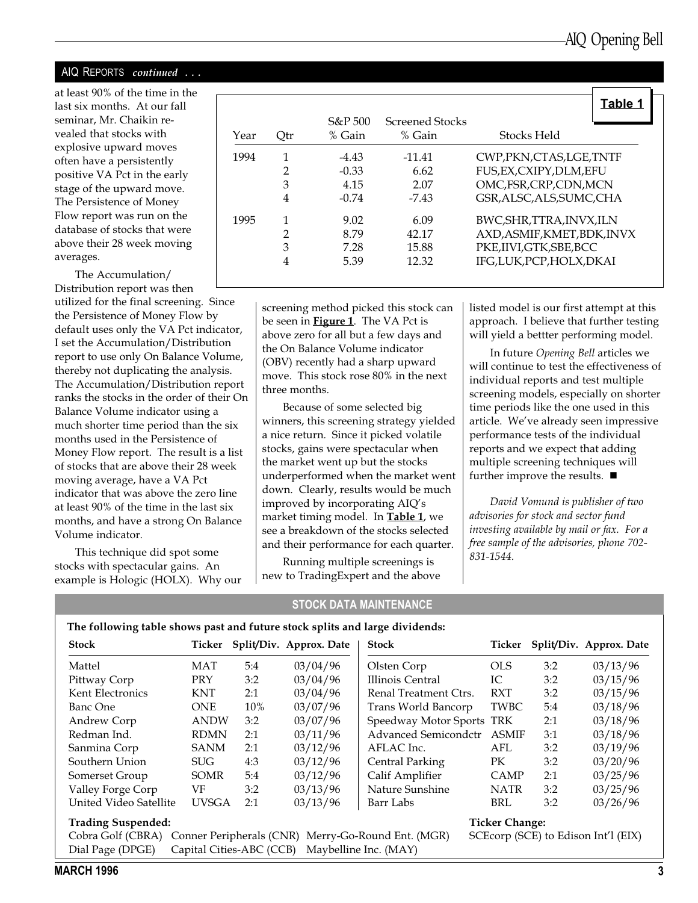#### AIQ REPORTS continued ...

at least 90% of the time in the last six months. At our fall seminar, Mr. Chaikin revealed that stocks with explosive upward moves often have a persistently positive VA Pct in the early stage of the upward move. The Persistence of Money Flow report was run on the database of stocks that were above their 28 week moving averages.

The Accumulation/ Distribution report was then utilized for the final screening. Since the Persistence of Money Flow by default uses only the VA Pct indicator, I set the Accumulation/Distribution report to use only On Balance Volume, thereby not duplicating the analysis. The Accumulation/Distribution report ranks the stocks in the order of their On Balance Volume indicator using a much shorter time period than the six months used in the Persistence of Money Flow report. The result is a list of stocks that are above their 28 week moving average, have a VA Pct indicator that was above the zero line at least 90% of the time in the last six months, and have a strong On Balance Volume indicator.

This technique did spot some stocks with spectacular gains. An example is Hologic (HOLX). Why our

|      |                |            |                 |                             | Table 1 |
|------|----------------|------------|-----------------|-----------------------------|---------|
|      |                | $S\&P 500$ | Screened Stocks |                             |         |
| Year | Otr            | $%$ Gain   | $%$ Gain        | Stocks Held                 |         |
| 1994 | 1              | $-4.43$    | $-11.41$        | CWP, PKN, CTAS, LGE, TNTF   |         |
|      | 2              | $-0.33$    | 6.62            | FUS, EX, CXIPY, DLM, EFU    |         |
|      | 3              | 4.15       | 2.07            | OMC,FSR,CRP,CDN,MCN         |         |
|      | 4              | $-0.74$    | $-7.43$         | GSR, ALSC, ALS, SUMC, CHA   |         |
| 1995 | 1              | 9.02       | 6.09            | BWC, SHR, TTRA, INVX, ILN   |         |
|      | $\overline{2}$ | 8.79       | 42.17           | AXD, ASMIF, KMET, BDK, INVX |         |
|      | 3              | 7.28       | 15.88           | PKE, IIVI, GTK, SBE, BCC    |         |
|      | 4              | 5.39       | 12.32           | IFG,LUK,PCP,HOLX,DKAI       |         |
|      |                |            |                 |                             |         |

screening method picked this stock can be seen in **Figure 1**. The VA Pct is above zero for all but a few days and the On Balance Volume indicator (OBV) recently had a sharp upward move. This stock rose 80% in the next three months.

Because of some selected big winners, this screening strategy yielded a nice return. Since it picked volatile stocks, gains were spectacular when the market went up but the stocks underperformed when the market went down. Clearly, results would be much improved by incorporating AIQ's market timing model. In **Table 1**, we see a breakdown of the stocks selected and their performance for each quarter.

Running multiple screenings is new to TradingExpert and the above listed model is our first attempt at this approach. I believe that further testing will yield a bettter performing model.

In future Opening Bell articles we will continue to test the effectiveness of individual reports and test multiple screening models, especially on shorter time periods like the one used in this article. We've already seen impressive performance tests of the individual reports and we expect that adding multiple screening techniques will further improve the results.  $\blacksquare$ 

David Vomund is publisher of two advisories for stock and sector fund investing available by mail or fax. For a free sample of the advisories, phone 702- 831-1544.

#### STOCK DATA MAINTENANCE

The following table shows past and future stock splits and large dividends:

| <b>Stock</b>                                                                                                   | Ticker       |     | Split/Div. Approx. Date | <b>Stock</b>           | Ticker       |     | Split/Div. Approx. Date |  |  |
|----------------------------------------------------------------------------------------------------------------|--------------|-----|-------------------------|------------------------|--------------|-----|-------------------------|--|--|
| Mattel                                                                                                         | <b>MAT</b>   | 5:4 | 03/04/96                | Olsten Corp            | <b>OLS</b>   | 3:2 | 03/13/96                |  |  |
| Pittway Corp                                                                                                   | <b>PRY</b>   | 3:2 | 03/04/96                | Illinois Central       | IC           | 3:2 | 03/15/96                |  |  |
| Kent Electronics                                                                                               | <b>KNT</b>   | 2:1 | 03/04/96                | Renal Treatment Ctrs.  | <b>RXT</b>   | 3:2 | 03/15/96                |  |  |
| Banc One                                                                                                       | <b>ONE</b>   | 10% | 03/07/96                | Trans World Bancorp    | TWBC         | 5:4 | 03/18/96                |  |  |
| Andrew Corp                                                                                                    | <b>ANDW</b>  | 3:2 | 03/07/96                | Speedway Motor Sports  | TRK          | 2:1 | 03/18/96                |  |  |
| Redman Ind.                                                                                                    | <b>RDMN</b>  | 2:1 | 03/11/96                | Advanced Semicondctr   | <b>ASMIF</b> | 3:1 | 03/18/96                |  |  |
| Sanmina Corp                                                                                                   | <b>SANM</b>  | 2:1 | 03/12/96                | AFLAC Inc.             | AFL          | 3:2 | 03/19/96                |  |  |
| Southern Union                                                                                                 | SUG.         | 4:3 | 03/12/96                | <b>Central Parking</b> | PК           | 3:2 | 03/20/96                |  |  |
| Somerset Group                                                                                                 | <b>SOMR</b>  | 5:4 | 03/12/96                | Calif Amplifier        | CAMP         | 2:1 | 03/25/96                |  |  |
| Valley Forge Corp                                                                                              | VF           | 3:2 | 03/13/96                | Nature Sunshine        | <b>NATR</b>  | 3:2 | 03/25/96                |  |  |
| United Video Satellite                                                                                         | <b>UVSGA</b> | 2:1 | 03/13/96                | Barr Labs              | BRL          | 3:2 | 03/26/96                |  |  |
| <b>Trading Suspended:</b><br><b>Ticker Change:</b>                                                             |              |     |                         |                        |              |     |                         |  |  |
| Conner Peripherals (CNR) Merry-Go-Round Ent. (MGR)<br>SCEcorp (SCE) to Edison Int'l (EIX)<br>Cobra Golf (CBRA) |              |     |                         |                        |              |     |                         |  |  |
| Capital Cities-ABC (CCB)<br>Maybelline Inc. (MAY)<br>Dial Page (DPGE)                                          |              |     |                         |                        |              |     |                         |  |  |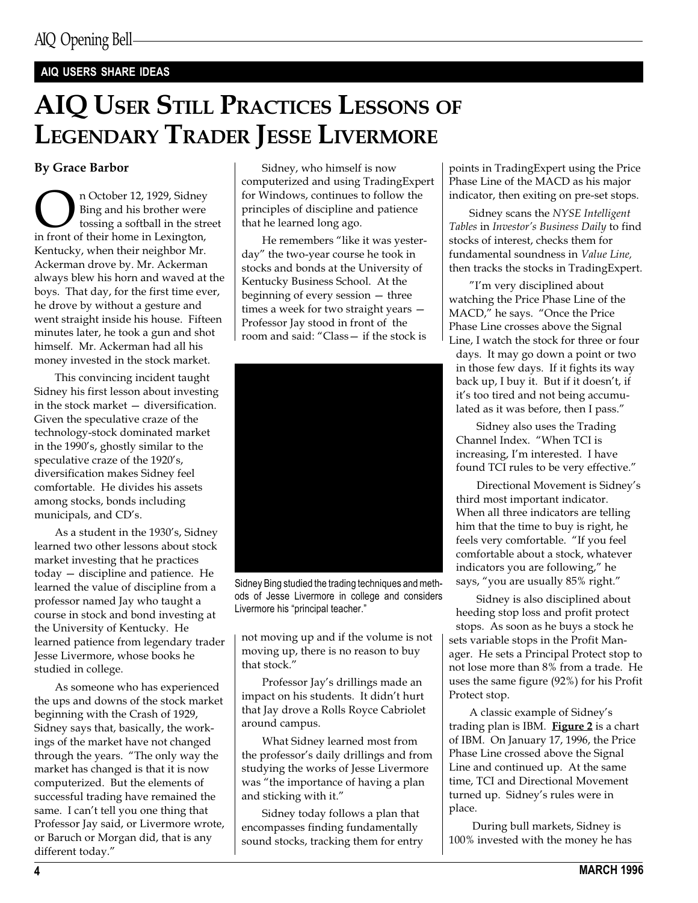#### AIQ USERS SHARE IDEAS

# AIQ USER STILL PRACTICES LESSONS OF LEGENDARY TRADER JESSE LIVERMORE

#### By Grace Barbor

**O**n October 12, 1929, Sidney<br>Bing and his brother were<br>in front of their home in Lexington, Bing and his brother were tossing a softball in the street Kentucky, when their neighbor Mr. Ackerman drove by. Mr. Ackerman always blew his horn and waved at the boys. That day, for the first time ever, he drove by without a gesture and went straight inside his house. Fifteen minutes later, he took a gun and shot himself. Mr. Ackerman had all his money invested in the stock market.

This convincing incident taught Sidney his first lesson about investing in the stock market  $-$  diversification. Given the speculative craze of the technology-stock dominated market in the 1990's, ghostly similar to the speculative craze of the 1920's, diversification makes Sidney feel comfortable. He divides his assets among stocks, bonds including municipals, and CD's.

As a student in the 1930's, Sidney learned two other lessons about stock market investing that he practices  $today - discipline$  and patience. He learned the value of discipline from a professor named Jay who taught a course in stock and bond investing at the University of Kentucky. He learned patience from legendary trader Jesse Livermore, whose books he studied in college.

As someone who has experienced the ups and downs of the stock market beginning with the Crash of 1929, Sidney says that, basically, the workings of the market have not changed through the years. "The only way the market has changed is that it is now computerized. But the elements of successful trading have remained the same. I can't tell you one thing that Professor Jay said, or Livermore wrote, or Baruch or Morgan did, that is any different today."

Sidney, who himself is now computerized and using TradingExpert for Windows, continues to follow the principles of discipline and patience that he learned long ago.

He remembers "like it was yesterday" the two-year course he took in stocks and bonds at the University of Kentucky Business School. At the beginning of every session  $-$  three times a week for two straight years -Professor Jay stood in front of the room and said: "Class - if the stock is



Sidney Bing studied the trading techniques and methods of Jesse Livermore in college and considers Livermore his "principal teacher."

not moving up and if the volume is not moving up, there is no reason to buy that stock.

Professor Jay's drillings made an impact on his students. It didn't hurt that Jay drove a Rolls Royce Cabriolet around campus.

What Sidney learned most from the professor's daily drillings and from studying the works of Jesse Livermore was "the importance of having a plan and sticking with it.

Sidney today follows a plan that encompasses finding fundamentally sound stocks, tracking them for entry points in TradingExpert using the Price Phase Line of the MACD as his major indicator, then exiting on pre-set stops.

Sidney scans the NYSE Intelligent Tables in Investor's Business Daily to find stocks of interest, checks them for fundamental soundness in Value Line, then tracks the stocks in TradingExpert.

"I'm very disciplined about watching the Price Phase Line of the MACD," he says. "Once the Price Phase Line crosses above the Signal Line, I watch the stock for three or four days. It may go down a point or two in those few days. If it fights its way back up, I buy it. But if it doesn't, if it's too tired and not being accumulated as it was before, then I pass."

Sidney also uses the Trading Channel Index. When TCI is increasing, I'm interested. I have found TCI rules to be very effective.

Directional Movement is Sidney's third most important indicator. When all three indicators are telling him that the time to buy is right, he feels very comfortable. "If you feel comfortable about a stock, whatever indicators you are following," he says, "you are usually 85% right."

Sidney is also disciplined about heeding stop loss and profit protect stops. As soon as he buys a stock he sets variable stops in the Profit Manager. He sets a Principal Protect stop to not lose more than 8% from a trade. He uses the same figure (92%) for his Profit Protect stop.

A classic example of Sidney's trading plan is IBM. Figure 2 is a chart of IBM. On January 17, 1996, the Price Phase Line crossed above the Signal Line and continued up. At the same time, TCI and Directional Movement turned up. Sidney's rules were in place.

 During bull markets, Sidney is 100% invested with the money he has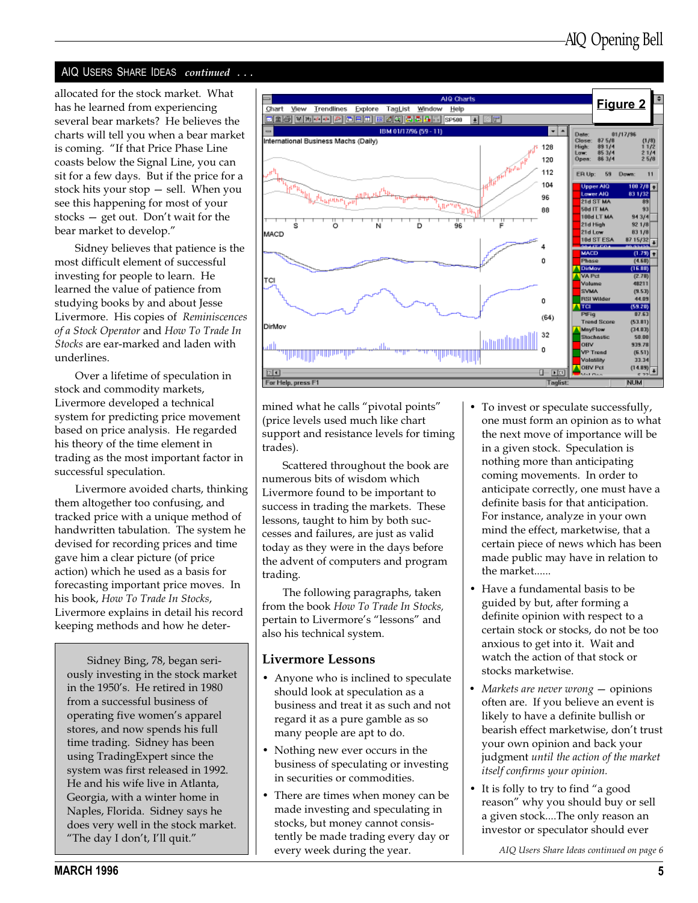#### AIQ USERS SHARE IDEAS continued ...

allocated for the stock market. What has he learned from experiencing several bear markets? He believes the charts will tell you when a bear market is coming. "If that Price Phase Line coasts below the Signal Line, you can sit for a few days. But if the price for a stock hits your stop  $-$  sell. When you see this happening for most of your stocks  $-$  get out. Don't wait for the bear market to develop.

Sidney believes that patience is the most difficult element of successful investing for people to learn. He learned the value of patience from studying books by and about Jesse Livermore. His copies of Reminiscences of a Stock Operator and How To Trade In Stocks are ear-marked and laden with underlines.

Over a lifetime of speculation in stock and commodity markets, Livermore developed a technical system for predicting price movement based on price analysis. He regarded his theory of the time element in trading as the most important factor in successful speculation.

Livermore avoided charts, thinking them altogether too confusing, and tracked price with a unique method of handwritten tabulation. The system he devised for recording prices and time gave him a clear picture (of price action) which he used as a basis for forecasting important price moves. In his book, How To Trade In Stocks, Livermore explains in detail his record keeping methods and how he deter-

Sidney Bing, 78, began seriously investing in the stock market in the 1950's. He retired in 1980 from a successful business of operating five women's apparel stores, and now spends his full time trading. Sidney has been using TradingExpert since the system was first released in 1992. He and his wife live in Atlanta, Georgia, with a winter home in Naples, Florida. Sidney says he does very well in the stock market. "The day I don't, I'll quit."



mined what he calls "pivotal points" (price levels used much like chart support and resistance levels for timing trades).

Scattered throughout the book are numerous bits of wisdom which Livermore found to be important to success in trading the markets. These lessons, taught to him by both successes and failures, are just as valid today as they were in the days before the advent of computers and program trading.

The following paragraphs, taken from the book How To Trade In Stocks, pertain to Livermore's "lessons" and also his technical system.

#### Livermore Lessons

- Anyone who is inclined to speculate should look at speculation as a business and treat it as such and not regard it as a pure gamble as so many people are apt to do.
- Nothing new ever occurs in the business of speculating or investing in securities or commodities.
- There are times when money can be made investing and speculating in stocks, but money cannot consistently be made trading every day or every week during the year.
- To invest or speculate successfully, one must form an opinion as to what the next move of importance will be in a given stock. Speculation is nothing more than anticipating coming movements. In order to anticipate correctly, one must have a definite basis for that anticipation. For instance, analyze in your own mind the effect, marketwise, that a certain piece of news which has been made public may have in relation to the market......
- Have a fundamental basis to be guided by but, after forming a definite opinion with respect to a certain stock or stocks, do not be too anxious to get into it. Wait and watch the action of that stock or stocks marketwise.
- Markets are never wrong  $-$  opinions often are. If you believe an event is likely to have a definite bullish or bearish effect marketwise, don't trust your own opinion and back your judgment until the action of the market itself confirms your opinion.
- It is folly to try to find "a good reason" why you should buy or sell a given stock....The only reason an investor or speculator should ever

AIQ Users Share Ideas continued on page 6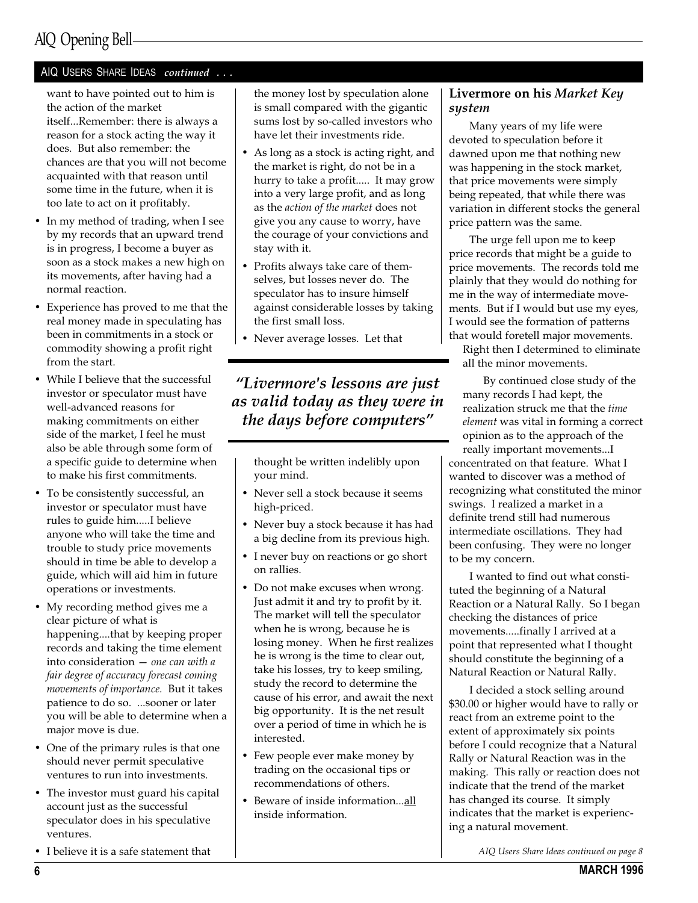### AIQ USERS SHARE IDEAS continued ...

want to have pointed out to him is the action of the market itself...Remember: there is always a reason for a stock acting the way it does. But also remember: the chances are that you will not become acquainted with that reason until some time in the future, when it is too late to act on it profitably.

- In my method of trading, when I see by my records that an upward trend is in progress, I become a buyer as soon as a stock makes a new high on its movements, after having had a normal reaction.
- Experience has proved to me that the real money made in speculating has been in commitments in a stock or commodity showing a profit right from the start.
- While I believe that the successful investor or speculator must have well-advanced reasons for making commitments on either side of the market, I feel he must also be able through some form of a specific guide to determine when to make his first commitments.
- To be consistently successful, an investor or speculator must have rules to guide him.....I believe anyone who will take the time and trouble to study price movements should in time be able to develop a guide, which will aid him in future operations or investments.
- My recording method gives me a clear picture of what is happening....that by keeping proper records and taking the time element into consideration  $-$  one can with a fair degree of accuracy forecast coming movements of importance. But it takes patience to do so. ...sooner or later you will be able to determine when a major move is due.
- One of the primary rules is that one should never permit speculative ventures to run into investments.
- The investor must guard his capital account just as the successful speculator does in his speculative ventures.
- I believe it is a safe statement that

the money lost by speculation alone is small compared with the gigantic sums lost by so-called investors who have let their investments ride.

- As long as a stock is acting right, and the market is right, do not be in a hurry to take a profit..... It may grow into a very large profit, and as long as the action of the market does not give you any cause to worry, have the courage of your convictions and stay with it.
- Profits always take care of themselves, but losses never do. The speculator has to insure himself against considerable losses by taking the first small loss.
- Never average losses. Let that

### Livermore's lessons are just as valid today as they were in the days before computers

thought be written indelibly upon your mind.

- Never sell a stock because it seems high-priced.
- Never buy a stock because it has had a big decline from its previous high.
- I never buy on reactions or go short on rallies.
- Do not make excuses when wrong. Just admit it and try to profit by it. The market will tell the speculator when he is wrong, because he is losing money. When he first realizes he is wrong is the time to clear out, take his losses, try to keep smiling, study the record to determine the cause of his error, and await the next big opportunity. It is the net result over a period of time in which he is interested.
- Few people ever make money by trading on the occasional tips or recommendations of others.
- Beware of inside information...all inside information.

### Livermore on his Market Key system

Many years of my life were devoted to speculation before it dawned upon me that nothing new was happening in the stock market, that price movements were simply being repeated, that while there was variation in different stocks the general price pattern was the same.

The urge fell upon me to keep price records that might be a guide to price movements. The records told me plainly that they would do nothing for me in the way of intermediate movements. But if I would but use my eyes, I would see the formation of patterns that would foretell major movements.

Right then I determined to eliminate all the minor movements.

By continued close study of the many records I had kept, the realization struck me that the time element was vital in forming a correct opinion as to the approach of the really important movements...I

concentrated on that feature. What I wanted to discover was a method of recognizing what constituted the minor swings. I realized a market in a definite trend still had numerous intermediate oscillations. They had been confusing. They were no longer to be my concern.

I wanted to find out what constituted the beginning of a Natural Reaction or a Natural Rally. So I began checking the distances of price movements.....finally I arrived at a point that represented what I thought should constitute the beginning of a Natural Reaction or Natural Rally.

I decided a stock selling around \$30.00 or higher would have to rally or react from an extreme point to the extent of approximately six points before I could recognize that a Natural Rally or Natural Reaction was in the making. This rally or reaction does not indicate that the trend of the market has changed its course. It simply indicates that the market is experiencing a natural movement.

AIQ Users Share Ideas continued on page 8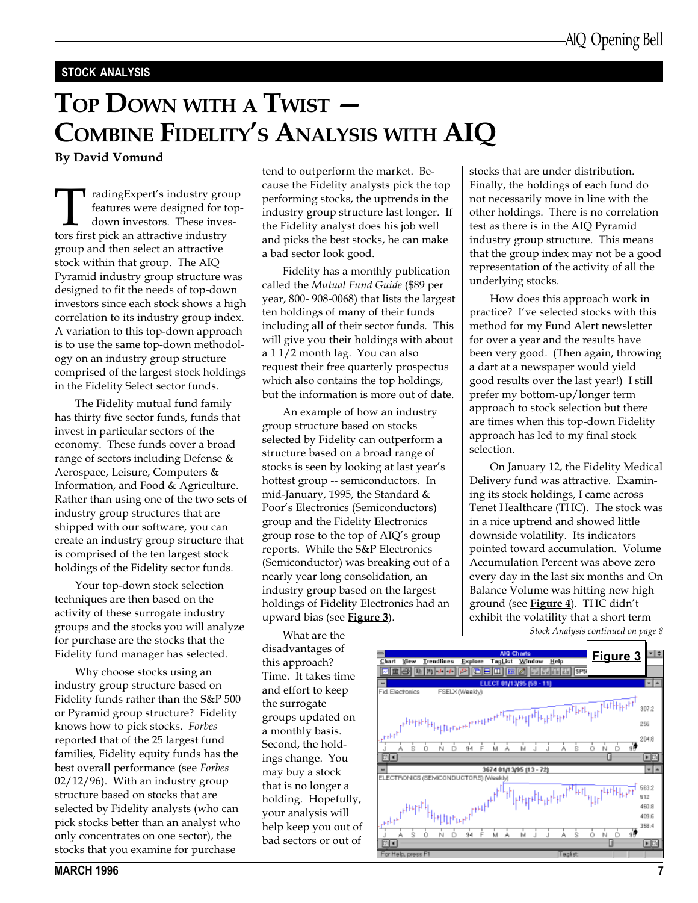#### STOCK ANALYSIS

## TOP DOWN WITH A TWIST  $-$ COMBINE FIDELITY'S ANALYSIS WITH AIQ By David Vomund

**T** radingExpert's industry group features were designed for topdown investors. These investors first pick an attractive industry group and then select an attractive stock within that group. The AIQ Pyramid industry group structure was designed to fit the needs of top-down investors since each stock shows a high correlation to its industry group index. A variation to this top-down approach is to use the same top-down methodology on an industry group structure comprised of the largest stock holdings in the Fidelity Select sector funds.

The Fidelity mutual fund family has thirty five sector funds, funds that invest in particular sectors of the economy. These funds cover a broad range of sectors including Defense & Aerospace, Leisure, Computers & Information, and Food & Agriculture. Rather than using one of the two sets of industry group structures that are shipped with our software, you can create an industry group structure that is comprised of the ten largest stock holdings of the Fidelity sector funds.

Your top-down stock selection techniques are then based on the activity of these surrogate industry groups and the stocks you will analyze for purchase are the stocks that the Fidelity fund manager has selected.

Why choose stocks using an industry group structure based on Fidelity funds rather than the S&P 500 or Pyramid group structure? Fidelity knows how to pick stocks. Forbes reported that of the 25 largest fund families, Fidelity equity funds has the best overall performance (see Forbes 02/12/96). With an industry group structure based on stocks that are selected by Fidelity analysts (who can pick stocks better than an analyst who only concentrates on one sector), the stocks that you examine for purchase

tend to outperform the market. Because the Fidelity analysts pick the top performing stocks, the uptrends in the industry group structure last longer. If the Fidelity analyst does his job well and picks the best stocks, he can make a bad sector look good.

Fidelity has a monthly publication called the Mutual Fund Guide (\$89 per year, 800- 908-0068) that lists the largest ten holdings of many of their funds including all of their sector funds. This will give you their holdings with about a 1 1/2 month lag. You can also request their free quarterly prospectus which also contains the top holdings, but the information is more out of date.

An example of how an industry group structure based on stocks selected by Fidelity can outperform a structure based on a broad range of stocks is seen by looking at last year's hottest group -- semiconductors. In mid-January, 1995, the Standard & Poor's Electronics (Semiconductors) group and the Fidelity Electronics group rose to the top of AIQ's group reports. While the S&P Electronics (Semiconductor) was breaking out of a nearly year long consolidation, an industry group based on the largest holdings of Fidelity Electronics had an upward bias (see Figure 3).

What are the disadvantages of this approach? Time. It takes time and effort to keep the surrogate groups updated on a monthly basis. Second, the holdings change. You may buy a stock that is no longer a holding. Hopefully, your analysis will help keep you out of bad sectors or out of stocks that are under distribution. Finally, the holdings of each fund do not necessarily move in line with the other holdings. There is no correlation test as there is in the AIQ Pyramid industry group structure. This means that the group index may not be a good representation of the activity of all the underlying stocks.

How does this approach work in practice? Ive selected stocks with this method for my Fund Alert newsletter for over a year and the results have been very good. (Then again, throwing a dart at a newspaper would yield good results over the last year!) I still prefer my bottom-up/longer term approach to stock selection but there are times when this top-down Fidelity approach has led to my final stock selection.

On January 12, the Fidelity Medical Delivery fund was attractive. Examining its stock holdings, I came across Tenet Healthcare (THC). The stock was in a nice uptrend and showed little downside volatility. Its indicators pointed toward accumulation. Volume Accumulation Percent was above zero every day in the last six months and On Balance Volume was hitting new high ground (see Figure 4). THC didn't exhibit the volatility that a short term



Stock Analysis continued on page 8